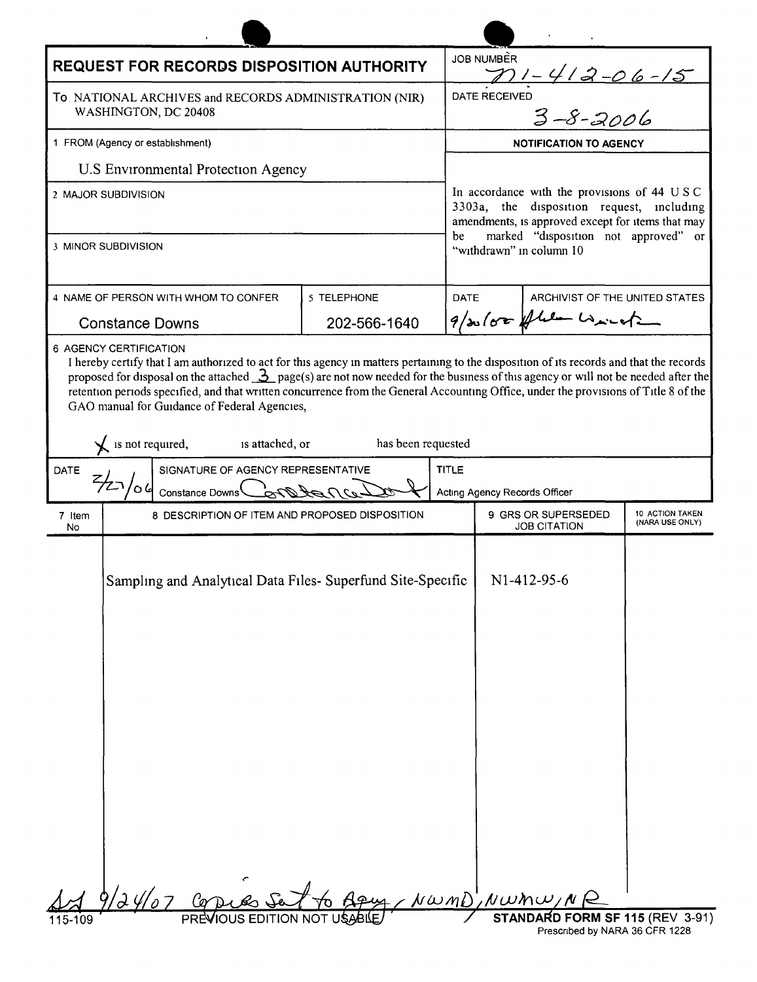| <b>REQUEST FOR RECORDS DISPOSITION AUTHORITY</b><br>To NATIONAL ARCHIVES and RECORDS ADMINISTRATION (NIR)                                                                                                                                                                                                                                                                                           | <b>JOB NUMBER</b>                                                                              |
|-----------------------------------------------------------------------------------------------------------------------------------------------------------------------------------------------------------------------------------------------------------------------------------------------------------------------------------------------------------------------------------------------------|------------------------------------------------------------------------------------------------|
|                                                                                                                                                                                                                                                                                                                                                                                                     |                                                                                                |
| WASHINGTON, DC 20408                                                                                                                                                                                                                                                                                                                                                                                | <u>771 - 412 -06 -15</u><br>RECEIVED<br>3 -8 - 2006<br>DATE RECEIVED                           |
| 1 FROM (Agency or establishment)                                                                                                                                                                                                                                                                                                                                                                    | <b>NOTIFICATION TO AGENCY</b>                                                                  |
| U.S Environmental Protection Agency                                                                                                                                                                                                                                                                                                                                                                 |                                                                                                |
| 2 MAJOR SUBDIVISION                                                                                                                                                                                                                                                                                                                                                                                 | In accordance with the provisions of 44 USC                                                    |
|                                                                                                                                                                                                                                                                                                                                                                                                     | 3303a, the disposition request, including<br>amendments, is approved except for items that may |
| 3 MINOR SUBDIVISION                                                                                                                                                                                                                                                                                                                                                                                 | marked "disposition not approved" or<br>be<br>"withdrawn" in column 10                         |
| 4 NAME OF PERSON WITH WHOM TO CONFER<br>5 TELEPHONE                                                                                                                                                                                                                                                                                                                                                 | <b>DATE</b><br>ARCHIVIST OF THE UNITED STATES                                                  |
| 202-566-1640<br><b>Constance Downs</b>                                                                                                                                                                                                                                                                                                                                                              | $9/x\sqrt{88}$ flee with                                                                       |
| proposed for disposal on the attached $\frac{3}{2}$ page(s) are not now needed for the business of this agency or will not be needed after the<br>retention periods specified, and that written concurrence from the General Accounting Office, under the provisions of Title 8 of the<br>GAO manual for Guidance of Federal Agencies,<br>is not required,<br>is attached, or<br>has been requested |                                                                                                |
| SIGNATURE OF AGENCY REPRESENTATIVE<br><b>TITLE</b><br><b>DATE</b><br>Constance Downs $\mathcal{L}$                                                                                                                                                                                                                                                                                                  | Acting Agency Records Officer                                                                  |
| 8 DESCRIPTION OF ITEM AND PROPOSED DISPOSITION<br>7 Item<br>No                                                                                                                                                                                                                                                                                                                                      | 9 GRS OR SUPERSEDED<br>10 ACTION TAKEN<br>(NARA USE ONLY)<br><b>JOB CITATION</b>               |
| Sampling and Analytical Data Files- Superfund Site-Specific                                                                                                                                                                                                                                                                                                                                         | N <sub>1</sub> -4 <sub>12</sub> -95-6                                                          |
|                                                                                                                                                                                                                                                                                                                                                                                                     |                                                                                                |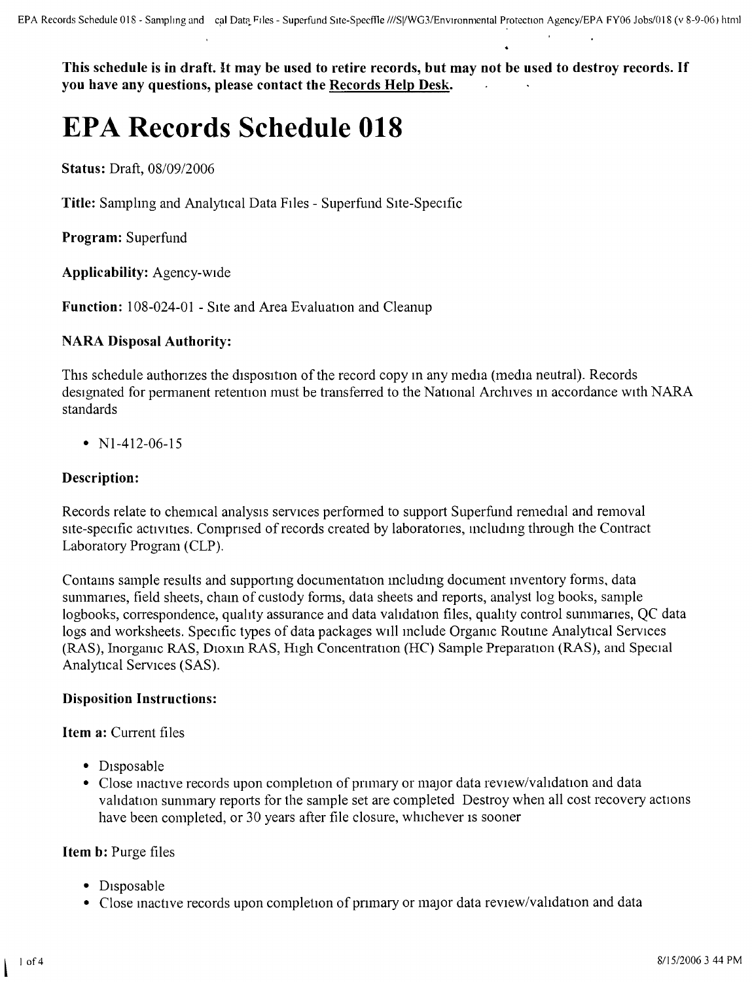This schedule is in draft. It may be used to retire records, but may not be used to destroy records. If **you have any questions, please contact the Records Help Desk.**

# **EPA Records Schedule 018**

**Status:** Draft, 08/09/2006

**Title:** Samplmg and Analytical Data Files - Superfund Site-Specific

**Program:** Superfund

**Applicability:** Agency-wide

**Function:** 108-024-01 - Site and Area Evaluation and Cleanup

## **NARA Disposal Authority:**

This schedule authorizes the disposition of the record copy in any media (media neutral). Records designated for permanent retention must be transferred to the National Archives in accordance with NARA standards

•  $N1-412-06-15$ 

## **Description:**

Records relate to chemical analysis services performed to support Superfund remedial and removal site-specific activities. Comprised of records created by laboratories, including through the Contract Laboratory Program (CLP).

Contams sample results and supportmg documentation includmg document inventory forms, data summanes, field sheets, cham of custody forms, data sheets and reports, analyst log books, sample logbooks, correspondence, quality assurance and data validation files, quality control summaries, QC data logs and worksheets. Specific types of data packages will include Organic Routme Analytical Services (RAS), Inorganic RAS, DIOxm RAS, HIgh Concentration (HC) Sample Preparation (RAS), and Special Analytical Services (SAS).

## **Disposition Instructions:**

**Item a:** Current files

- Disposable
- Close inactive records upon completion of primary or major data review/validation and data validation summary reports for the sample set are completed Destroy when all cost recovery actions have been completed, or 30 years after file closure, whichever is sooner

## **Item b:** Purge files

- Disposable
- Close inactive records upon completion of primary or major data review/validation and data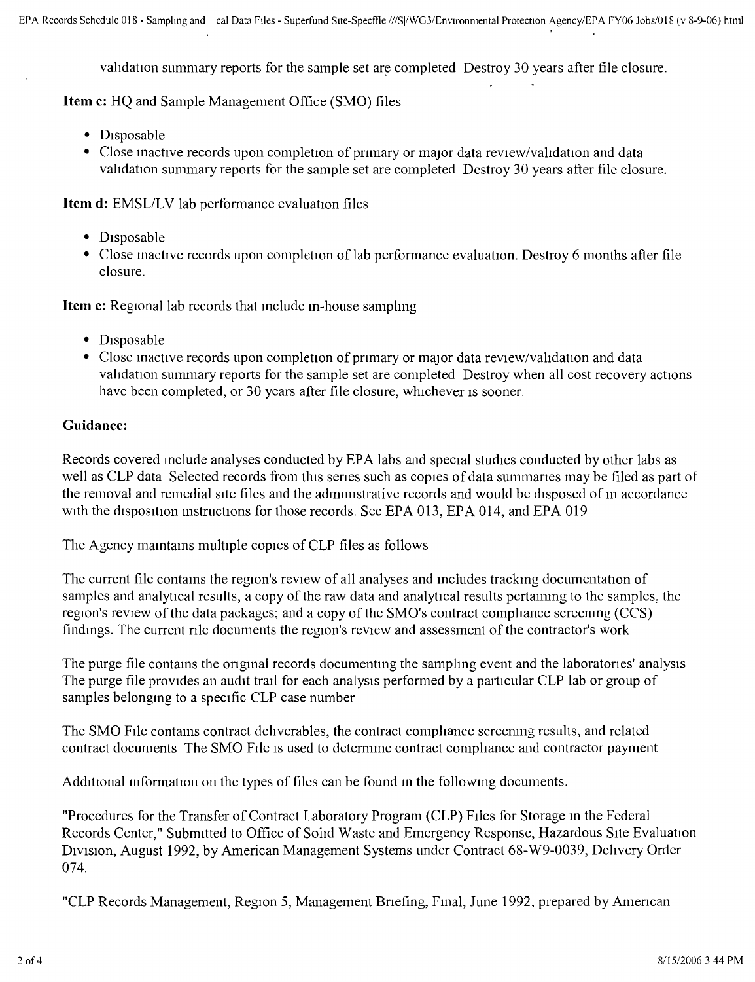validation summary reports for the sample set are completed Destroy 30 years after file closure.

**Item** c: HQ and Sample Management Office (SMO) files

- Disposable
- Close inactive records upon completion of primary or major data review/validation and data vahdation summary reports for the sample set are completed Destroy 30 years after file closure.

**Item d:** EMSL/LV lab performance evaluation files

- Disposable
- Close mactive records upon completion of lab performance evaluation. Destroy 6 months after file closure.

**Item e:** Regional lab records that include in-house sampling

- Disposable
- Close inactive records upon completion of primary or major data review/validation and data validation summary reports for the sample set are completed Destroy when all cost recovery actions have been completed, or 30 years after file closure, whichever is sooner.

## **Guidance:**

Records covered include analyses conducted by EPA labs and special studies conducted by other labs as well as CLP data Selected records from this senes such as copies of data summanes may be filed as part of the removal and remedial SIte files and the admuustrative records and would be disposed of in accordance with the disposition mstructions for those records. See EPA 013, EPA 014, and EPA 019

The Agency mamtams multiple copies of CLP files as follows

The current file contams the region's review of all analyses and mcludes trackmg documentation of samples and analytical results, a copy of the raw data and analytical results pertammg to the samples, the region's review of the data packages; and a copy of the SMO's contract compliance screening (CCS) findmgs. The current nle documents the region's review and assessment of the contractor's work

The purge file contams the ongmal records documentmg the sampling event and the Iaboratories' analysis The purge file provides an audit trail for each analysis performed by a particular CLP lab or group of samples belongmg to a specific CLP case number

The SMO FIle contams contract dehverables, the contract comphance screenmg results, and related contract documents The SMO FIle IS used to determme contract comphance and contractor payment

Additional information on the types of files can be found in the followmg documents.

"Procedures for the Transfer of Contract Laboratory Program (CLP) FIles for Storage in the Federal Records Center," Submitted to Office of Sohd Waste and Emergency Response, Hazardous SIte Evaluation DIVIsIOn, August 1992, by American Management Systems under Contract 68-W9-0039, Delivery Order 074.

"CLP Records Management, Region 5, Management Bnefing, Fmal, June 1992, prepared by Amencan